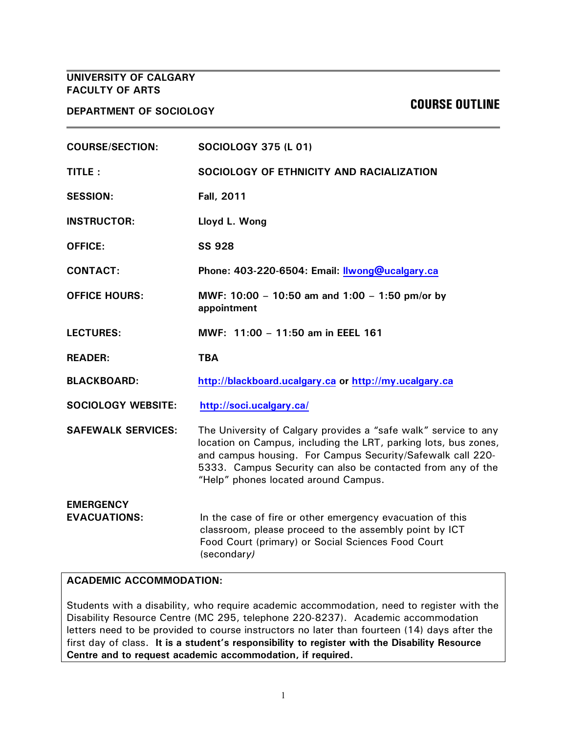# **UNIVERSITY OF CALGARY FACULTY OF ARTS**

**DEPARTMENT OF SOCIOLOGY COURSE OUTLINE**

| <b>COURSE/SECTION:</b>    | <b>SOCIOLOGY 375 (L 01)</b>                                                                                                                                                                                                                                                                             |  |
|---------------------------|---------------------------------------------------------------------------------------------------------------------------------------------------------------------------------------------------------------------------------------------------------------------------------------------------------|--|
| TITLE:                    | SOCIOLOGY OF ETHNICITY AND RACIALIZATION                                                                                                                                                                                                                                                                |  |
| <b>SESSION:</b>           | <b>Fall, 2011</b>                                                                                                                                                                                                                                                                                       |  |
| <b>INSTRUCTOR:</b>        | Lloyd L. Wong                                                                                                                                                                                                                                                                                           |  |
| <b>OFFICE:</b>            | <b>SS 928</b>                                                                                                                                                                                                                                                                                           |  |
| <b>CONTACT:</b>           | Phone: 403-220-6504: Email: Ilwong@ucalgary.ca                                                                                                                                                                                                                                                          |  |
| <b>OFFICE HOURS:</b>      | MWF: 10:00 - 10:50 am and 1:00 - 1:50 pm/or by<br>appointment                                                                                                                                                                                                                                           |  |
| <b>LECTURES:</b>          | MWF: 11:00 - 11:50 am in EEEL 161                                                                                                                                                                                                                                                                       |  |
|                           |                                                                                                                                                                                                                                                                                                         |  |
| <b>READER:</b>            | <b>TBA</b>                                                                                                                                                                                                                                                                                              |  |
| <b>BLACKBOARD:</b>        | http://blackboard.ucalgary.ca or http://my.ucalgary.ca                                                                                                                                                                                                                                                  |  |
| <b>SOCIOLOGY WEBSITE:</b> | http://soci.ucalgary.ca/                                                                                                                                                                                                                                                                                |  |
| <b>SAFEWALK SERVICES:</b> | The University of Calgary provides a "safe walk" service to any<br>location on Campus, including the LRT, parking lots, bus zones,<br>and campus housing. For Campus Security/Safewalk call 220-<br>5333. Campus Security can also be contacted from any of the<br>"Help" phones located around Campus. |  |

#### **ACADEMIC ACCOMMODATION:**

Students with a disability, who require academic accommodation, need to register with the Disability Resource Centre (MC 295, telephone 220-8237). Academic accommodation letters need to be provided to course instructors no later than fourteen (14) days after the first day of class. **It is a student's responsibility to register with the Disability Resource Centre and to request academic accommodation, if required.**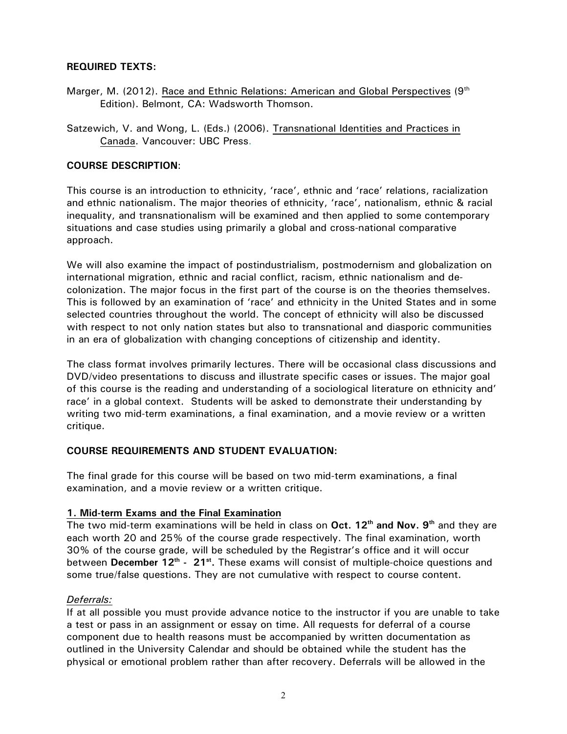#### **REQUIRED TEXTS:**

- Marger, M. (2012). Race and Ethnic Relations: American and Global Perspectives (9<sup>th</sup>) Edition). Belmont, CA: Wadsworth Thomson.
- Satzewich, V. and Wong, L. (Eds.) (2006). Transnational Identities and Practices in Canada. Vancouver: UBC Press.

### **COURSE DESCRIPTION**:

This course is an introduction to ethnicity, 'race', ethnic and 'race' relations, racialization and ethnic nationalism. The major theories of ethnicity, 'race', nationalism, ethnic & racial inequality, and transnationalism will be examined and then applied to some contemporary situations and case studies using primarily a global and cross-national comparative approach.

We will also examine the impact of postindustrialism, postmodernism and globalization on international migration, ethnic and racial conflict, racism, ethnic nationalism and decolonization. The major focus in the first part of the course is on the theories themselves. This is followed by an examination of 'race' and ethnicity in the United States and in some selected countries throughout the world. The concept of ethnicity will also be discussed with respect to not only nation states but also to transnational and diasporic communities in an era of globalization with changing conceptions of citizenship and identity.

The class format involves primarily lectures. There will be occasional class discussions and DVD/video presentations to discuss and illustrate specific cases or issues. The major goal of this course is the reading and understanding of a sociological literature on ethnicity and' race' in a global context. Students will be asked to demonstrate their understanding by writing two mid-term examinations, a final examination, and a movie review or a written critique.

# **COURSE REQUIREMENTS AND STUDENT EVALUATION:**

The final grade for this course will be based on two mid-term examinations, a final examination, and a movie review or a written critique.

#### **1. Mid-term Exams and the Final Examination**

The two mid-term examinations will be held in class on **Oct. 12th and Nov. 9th** and they are each worth 20 and 25% of the course grade respectively. The final examination, worth 30% of the course grade, will be scheduled by the Registrar's office and it will occur between **December 12th - 21st .** These exams will consist of multiple-choice questions and some true/false questions. They are not cumulative with respect to course content.

#### *Deferrals:*

If at all possible you must provide advance notice to the instructor if you are unable to take a test or pass in an assignment or essay on time. All requests for deferral of a course component due to health reasons must be accompanied by written documentation as outlined in the University Calendar and should be obtained while the student has the physical or emotional problem rather than after recovery. Deferrals will be allowed in the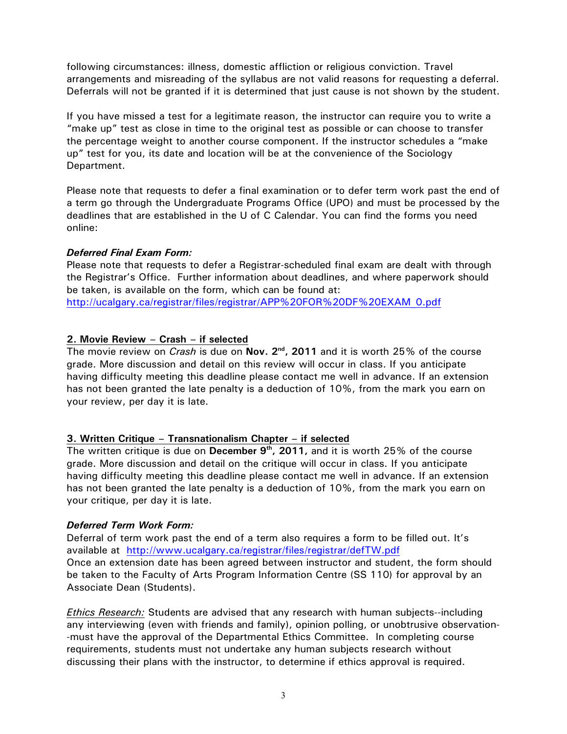following circumstances: illness, domestic affliction or religious conviction. Travel arrangements and misreading of the syllabus are not valid reasons for requesting a deferral. Deferrals will not be granted if it is determined that just cause is not shown by the student.

If you have missed a test for a legitimate reason, the instructor can require you to write a "make up" test as close in time to the original test as possible or can choose to transfer the percentage weight to another course component. If the instructor schedules a "make up" test for you, its date and location will be at the convenience of the Sociology Department.

Please note that requests to defer a final examination or to defer term work past the end of a term go through the Undergraduate Programs Office (UPO) and must be processed by the deadlines that are established in the U of C Calendar. You can find the forms you need online:

# *Deferred Final Exam Form:*

Please note that requests to defer a Registrar-scheduled final exam are dealt with through the Registrar's Office. Further information about deadlines, and where paperwork should be taken, is available on the form, which can be found at:

http://ucalgary.ca/registrar/files/registrar/APP%20FOR%20DF%20EXAM\_0.pdf

# **2. Movie Review – Crash – if selected**

The movie review on *Crash* is due on **Nov. 2nd, 2011** and it is worth 25% of the course grade. More discussion and detail on this review will occur in class. If you anticipate having difficulty meeting this deadline please contact me well in advance. If an extension has not been granted the late penalty is a deduction of 10%, from the mark you earn on your review, per day it is late.

# **3. Written Critique – Transnationalism Chapter – if selected**

The written critique is due on **December 9th, 2011,** and it is worth 25% of the course grade. More discussion and detail on the critique will occur in class. If you anticipate having difficulty meeting this deadline please contact me well in advance. If an extension has not been granted the late penalty is a deduction of 10%, from the mark you earn on your critique, per day it is late.

# *Deferred Term Work Form:*

Deferral of term work past the end of a term also requires a form to be filled out. It's available at http://www.ucalgary.ca/registrar/files/registrar/defTW.pdf Once an extension date has been agreed between instructor and student, the form should be taken to the Faculty of Arts Program Information Centre (SS 110) for approval by an Associate Dean (Students).

*Ethics Research:* Students are advised that any research with human subjects--including any interviewing (even with friends and family), opinion polling, or unobtrusive observation- -must have the approval of the Departmental Ethics Committee. In completing course requirements, students must not undertake any human subjects research without discussing their plans with the instructor, to determine if ethics approval is required.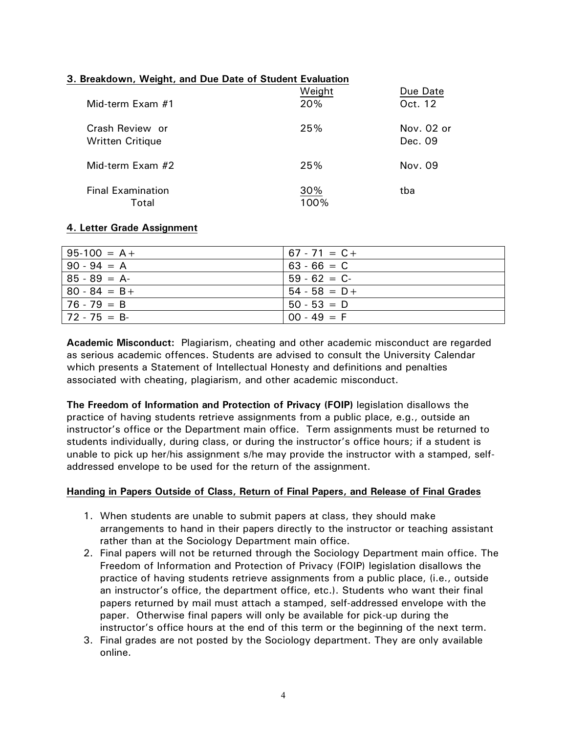# **3. Breakdown, Weight, and Due Date of Student Evaluation**

| Mid-term Exam #1                           | Weight<br>20% | Due Date<br>Oct. 12   |
|--------------------------------------------|---------------|-----------------------|
| Crash Review or<br><b>Written Critique</b> | 25%           | Nov. 02 or<br>Dec. 09 |
| Mid-term Exam #2                           | 25%           | Nov. 09               |
| <b>Final Examination</b><br>Total          | 30%<br>100%   | tba                   |

#### **4. Letter Grade Assignment**

| $95-100 = A +$  | $67 - 71 = C +$ |
|-----------------|-----------------|
| $90 - 94 = A$   | $63 - 66 = C$   |
| $85 - 89 = A$   | $59 - 62 = C$   |
| $80 - 84 = B +$ | $54 - 58 = D +$ |
| $76 - 79 = B$   | $50 - 53 = D$   |
| $172 - 75 = B$  | $00 - 49 = F$   |

**Academic Misconduct:** Plagiarism, cheating and other academic misconduct are regarded as serious academic offences. Students are advised to consult the University Calendar which presents a Statement of Intellectual Honesty and definitions and penalties associated with cheating, plagiarism, and other academic misconduct.

**The Freedom of Information and Protection of Privacy (FOIP)** legislation disallows the practice of having students retrieve assignments from a public place, e.g., outside an instructor's office or the Department main office. Term assignments must be returned to students individually, during class, or during the instructor's office hours; if a student is unable to pick up her/his assignment s/he may provide the instructor with a stamped, selfaddressed envelope to be used for the return of the assignment.

#### **Handing in Papers Outside of Class, Return of Final Papers, and Release of Final Grades**

- 1. When students are unable to submit papers at class, they should make arrangements to hand in their papers directly to the instructor or teaching assistant rather than at the Sociology Department main office.
- 2. Final papers will not be returned through the Sociology Department main office. The Freedom of Information and Protection of Privacy (FOIP) legislation disallows the practice of having students retrieve assignments from a public place, (i.e., outside an instructor's office, the department office, etc.). Students who want their final papers returned by mail must attach a stamped, self-addressed envelope with the paper. Otherwise final papers will only be available for pick-up during the instructor's office hours at the end of this term or the beginning of the next term.
- 3. Final grades are not posted by the Sociology department. They are only available online.